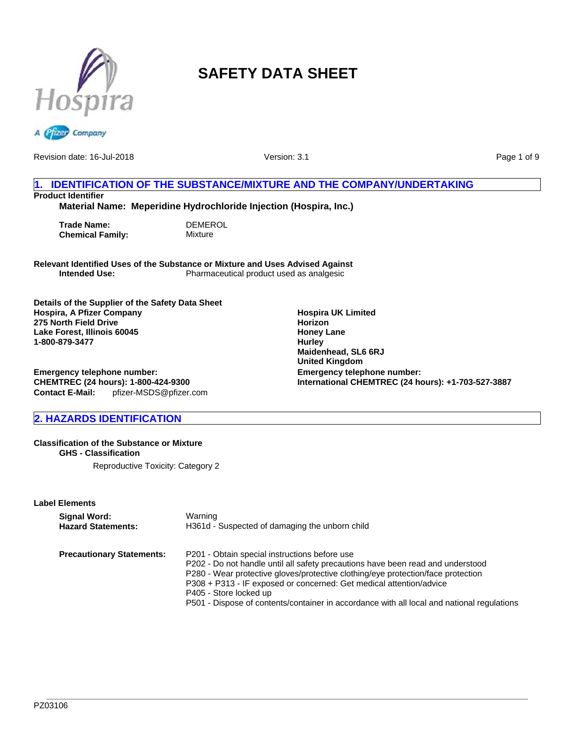



Revision date: 16-Jul-2018

Version: 3.1

Page 1 of 9

# **1. IDENTIFICATION OF THE SUBSTANCE/MIXTURE AND THE COMPANY/UNDERTAKING Product Identifier**

**Material Name: Meperidine Hydrochloride Injection (Hospira, Inc.)**

**Trade Name:** DEMEROL<br> **Chemical Family:** Mixture **Chemical Family:** 

**Relevant Identified Uses of the Substance or Mixture and Uses Advised Against** Pharmaceutical product used as analgesic

**Details of the Supplier of the Safety Data Sheet Hospira, A Pfizer Company 275 North Field Drive Lake Forest, Illinois 60045 1-800-879-3477**

**Emergency telephone number: CHEMTREC (24 hours): 1-800-424-9300 Contact E-Mail:** pfizer-MSDS@pfizer.com

# **2. HAZARDS IDENTIFICATION**

#### **Classification of the Substance or Mixture GHS - Classification**

Reproductive Toxicity: Category 2

#### **Label Elements**

| Signal Word:                     | Warning                                                                                                                                                                                                                                                                                                                                                                                                             |
|----------------------------------|---------------------------------------------------------------------------------------------------------------------------------------------------------------------------------------------------------------------------------------------------------------------------------------------------------------------------------------------------------------------------------------------------------------------|
| <b>Hazard Statements:</b>        | H361d - Suspected of damaging the unborn child                                                                                                                                                                                                                                                                                                                                                                      |
| <b>Precautionary Statements:</b> | P201 - Obtain special instructions before use<br>P202 - Do not handle until all safety precautions have been read and understood<br>P280 - Wear protective gloves/protective clothing/eye protection/face protection<br>P308 + P313 - IF exposed or concerned: Get medical attention/advice<br>P405 - Store locked up<br>P501 - Dispose of contents/container in accordance with all local and national regulations |

**Hospira UK Limited Horizon Honey Lane Hurley Maidenhead, SL6 6RJ United Kingdom Emergency telephone number: International CHEMTREC (24 hours): +1-703-527-3887**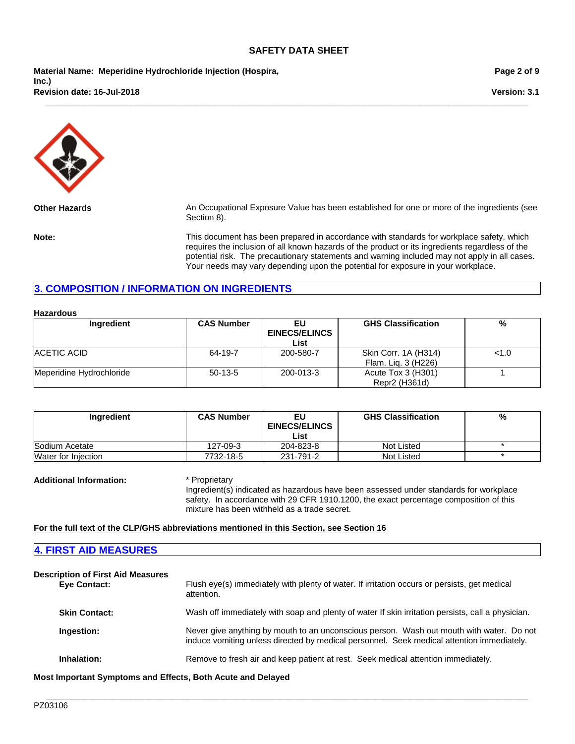**\_\_\_\_\_\_\_\_\_\_\_\_\_\_\_\_\_\_\_\_\_\_\_\_\_\_\_\_\_\_\_\_\_\_\_\_\_\_\_\_\_\_\_\_\_\_\_\_\_\_\_\_\_\_\_\_\_\_\_\_\_\_\_\_\_\_\_\_\_\_\_\_\_\_\_\_\_\_\_\_\_\_\_\_\_\_\_\_\_\_\_\_\_\_\_\_\_\_\_\_\_\_\_**

**Material Name: Meperidine Hydrochloride Injection (Hospira, Inc.) Revision date: 16-Jul-2018**

**Page 2 of 9**

**Version: 3.1**



**Other Hazards** An Occupational Exposure Value has been established for one or more of the ingredients (see Section 8).

**Note:** This document has been prepared in accordance with standards for workplace safety, which requires the inclusion of all known hazards of the product or its ingredients regardless of the potential risk. The precautionary statements and warning included may not apply in all cases. Your needs may vary depending upon the potential for exposure in your workplace.

## **3. COMPOSITION / INFORMATION ON INGREDIENTS**

| Ingredient               | <b>CAS Number</b> | EU<br><b>EINECS/ELINCS</b><br>List | <b>GHS Classification</b> | %   |
|--------------------------|-------------------|------------------------------------|---------------------------|-----|
| ACETIC ACID              | 64-19-7           | 200-580-7                          | Skin Corr. 1A (H314)      | 1.0 |
|                          |                   |                                    | Flam. Lig. 3 (H226)       |     |
| Meperidine Hydrochloride | $50-13-5$         | 200-013-3                          | Acute Tox 3 (H301)        |     |
|                          |                   |                                    | Repr2 (H361d)             |     |

| Ingredient          | <b>CAS Number</b> | EU                   | <b>GHS Classification</b> | % |
|---------------------|-------------------|----------------------|---------------------------|---|
|                     |                   | <b>EINECS/ELINCS</b> |                           |   |
|                     |                   | List                 |                           |   |
| Sodium Acetate      | 127-09-3          | 204-823-8            | Not Listed                |   |
| Water for Injection | 7732-18-5         | 231-791-2            | Not Listed                |   |

**Additional Information:** \* Proprietary

Ingredient(s) indicated as hazardous have been assessed under standards for workplace safety. In accordance with 29 CFR 1910.1200, the exact percentage composition of this mixture has been withheld as a trade secret.

**For the full text of the CLP/GHS abbreviations mentioned in this Section, see Section 16**

## **4. FIRST AID MEASURES**

| <b>Description of First Aid Measures</b><br><b>Eve Contact:</b> | Flush eye(s) immediately with plenty of water. If irritation occurs or persists, get medical<br>attention.                                                                            |
|-----------------------------------------------------------------|---------------------------------------------------------------------------------------------------------------------------------------------------------------------------------------|
| <b>Skin Contact:</b>                                            | Wash off immediately with soap and plenty of water If skin irritation persists, call a physician.                                                                                     |
| Ingestion:                                                      | Never give anything by mouth to an unconscious person. Wash out mouth with water. Do not<br>induce vomiting unless directed by medical personnel. Seek medical attention immediately. |
| Inhalation:                                                     | Remove to fresh air and keep patient at rest. Seek medical attention immediately.                                                                                                     |

**\_\_\_\_\_\_\_\_\_\_\_\_\_\_\_\_\_\_\_\_\_\_\_\_\_\_\_\_\_\_\_\_\_\_\_\_\_\_\_\_\_\_\_\_\_\_\_\_\_\_\_\_\_\_\_\_\_\_\_\_\_\_\_\_\_\_\_\_\_\_\_\_\_\_\_\_\_\_\_\_\_\_\_\_\_\_\_\_\_\_\_\_\_\_\_\_\_\_\_\_\_\_\_**

**Most Important Symptoms and Effects, Both Acute and Delayed**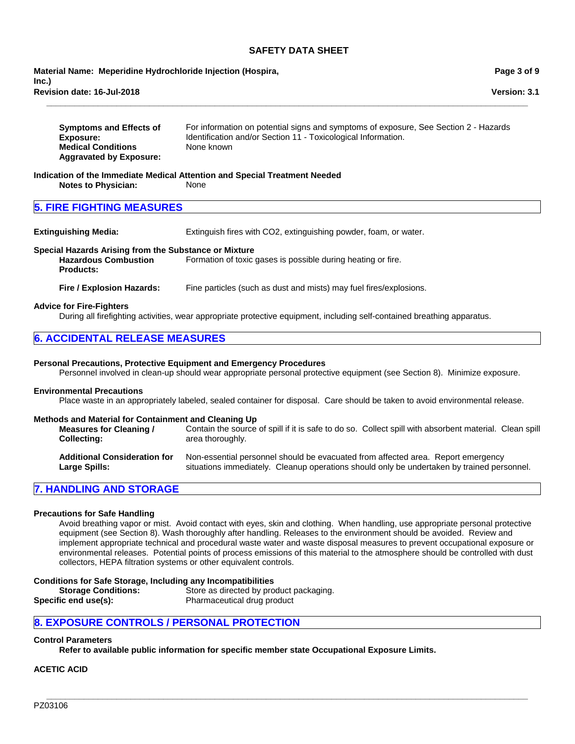**Revision date: 16-Jul-2018 Material Name: Meperidine Hydrochloride Injection (Hospira, Inc.)**

**Page 3 of 9**

**Symptoms and Effects of Exposure:** For information on potential signs and symptoms of exposure, See Section 2 - Hazards Identification and/or Section 11 - Toxicological Information. **Medical Conditions Aggravated by Exposure:** None known

**\_\_\_\_\_\_\_\_\_\_\_\_\_\_\_\_\_\_\_\_\_\_\_\_\_\_\_\_\_\_\_\_\_\_\_\_\_\_\_\_\_\_\_\_\_\_\_\_\_\_\_\_\_\_\_\_\_\_\_\_\_\_\_\_\_\_\_\_\_\_\_\_\_\_\_\_\_\_\_\_\_\_\_\_\_\_\_\_\_\_\_\_\_\_\_\_\_\_\_\_\_\_\_**

#### **Indication of the Immediate Medical Attention and Special Treatment Needed Notes to Physician:** None

## **5. FIRE FIGHTING MEASURES**

**Extinguishing Media:** Extinguish fires with CO2, extinguishing powder, foam, or water.

#### **Special Hazards Arising from the Substance or Mixture**

**Hazardous Combustion Products:** Formation of toxic gases is possible during heating or fire.

**Fire / Explosion Hazards:** Fine particles (such as dust and mists) may fuel fires/explosions.

#### **Advice for Fire-Fighters**

During all firefighting activities, wear appropriate protective equipment, including self-contained breathing apparatus.

## **6. ACCIDENTAL RELEASE MEASURES**

#### **Personal Precautions, Protective Equipment and Emergency Procedures**

Personnel involved in clean-up should wear appropriate personal protective equipment (see Section 8). Minimize exposure.

#### **Environmental Precautions**

Place waste in an appropriately labeled, sealed container for disposal. Care should be taken to avoid environmental release.

#### **Methods and Material for Containment and Cleaning Up**

| <b>Measures for Cleaning /</b>      | Contain the source of spill if it is safe to do so. Collect spill with absorbent material. Clean spill |
|-------------------------------------|--------------------------------------------------------------------------------------------------------|
| <b>Collecting:</b>                  | area thoroughly.                                                                                       |
| <b>Additional Consideration for</b> | Non-essential personnel should be evacuated from affected area. Report emergency                       |
| Large Spills:                       | situations immediately. Cleanup operations should only be undertaken by trained personnel.             |

## **7. HANDLING AND STORAGE**

#### **Precautions for Safe Handling**

Avoid breathing vapor or mist. Avoid contact with eyes, skin and clothing. When handling, use appropriate personal protective equipment (see Section 8). Wash thoroughly after handling. Releases to the environment should be avoided. Review and implement appropriate technical and procedural waste water and waste disposal measures to prevent occupational exposure or environmental releases. Potential points of process emissions of this material to the atmosphere should be controlled with dust collectors, HEPA filtration systems or other equivalent controls.

**\_\_\_\_\_\_\_\_\_\_\_\_\_\_\_\_\_\_\_\_\_\_\_\_\_\_\_\_\_\_\_\_\_\_\_\_\_\_\_\_\_\_\_\_\_\_\_\_\_\_\_\_\_\_\_\_\_\_\_\_\_\_\_\_\_\_\_\_\_\_\_\_\_\_\_\_\_\_\_\_\_\_\_\_\_\_\_\_\_\_\_\_\_\_\_\_\_\_\_\_\_\_\_**

#### **Conditions for Safe Storage, Including any Incompatibilities**

| <b>Storage Conditions:</b> | Store as directed by product packaging. |
|----------------------------|-----------------------------------------|
| Specific end use(s):       | Pharmaceutical drug product             |

## **8. EXPOSURE CONTROLS / PERSONAL PROTECTION**

## **Control Parameters**

**Refer to available public information for specific member state Occupational Exposure Limits.**

## **ACETIC ACID**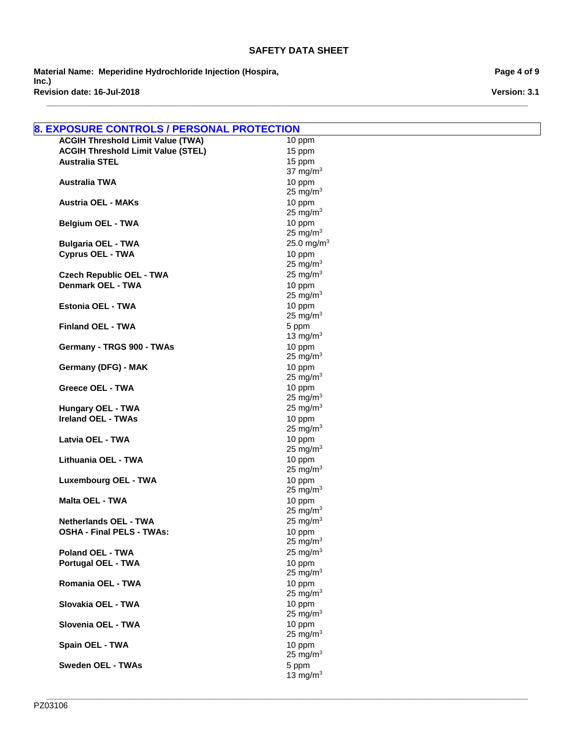**\_\_\_\_\_\_\_\_\_\_\_\_\_\_\_\_\_\_\_\_\_\_\_\_\_\_\_\_\_\_\_\_\_\_\_\_\_\_\_\_\_\_\_\_\_\_\_\_\_\_\_\_\_\_\_\_\_\_\_\_\_\_\_\_\_\_\_\_\_\_\_\_\_\_\_\_\_\_\_\_\_\_\_\_\_\_\_\_\_\_\_\_\_\_\_\_\_\_\_\_\_\_\_**

**Material Name: Meperidine Hydrochloride Injection (Hospira, Inc.) Revision date: 16-Jul-2018**

| 8. EXPOSURE CONTROLS / PERSONAL PROTECTION |                       |
|--------------------------------------------|-----------------------|
| <b>ACGIH Threshold Limit Value (TWA)</b>   | 10 ppm                |
| <b>ACGIH Threshold Limit Value (STEL)</b>  | 15 ppm                |
| <b>Australia STEL</b>                      | 15 ppm                |
|                                            | 37 mg/m $3$           |
| <b>Australia TWA</b>                       | 10 ppm                |
|                                            | 25 mg/ $m3$           |
| <b>Austria OEL - MAKs</b>                  | 10 ppm                |
|                                            | 25 mg/m $3$<br>10 ppm |
| <b>Belgium OEL - TWA</b>                   | 25 mg/m $3$           |
| <b>Bulgaria OEL - TWA</b>                  | 25.0 mg/m $3$         |
| <b>Cyprus OEL - TWA</b>                    | 10 ppm                |
|                                            | 25 mg/ $m3$           |
| <b>Czech Republic OEL - TWA</b>            | 25 mg/ $m3$           |
| <b>Denmark OEL - TWA</b>                   | 10 ppm                |
|                                            | 25 mg/m $3$           |
| Estonia OEL - TWA                          | 10 ppm                |
|                                            | 25 mg/ $m3$           |
| <b>Finland OEL - TWA</b>                   | 5 ppm                 |
|                                            | 13 mg/m $3$           |
| Germany - TRGS 900 - TWAs                  | 10 ppm                |
|                                            | 25 mg/ $m3$           |
| Germany (DFG) - MAK                        | 10 ppm                |
| <b>Greece OEL - TWA</b>                    | 25 mg/ $m3$<br>10 ppm |
|                                            | 25 mg/ $m3$           |
| <b>Hungary OEL - TWA</b>                   | 25 mg/ $m3$           |
| <b>Ireland OEL - TWAs</b>                  | 10 ppm                |
|                                            | 25 mg/ $m3$           |
| Latvia OEL - TWA                           | 10 ppm                |
|                                            | 25 mg/ $m3$           |
| Lithuania OEL - TWA                        | 10 ppm                |
|                                            | 25 mg/m $3$           |
| <b>Luxembourg OEL - TWA</b>                | 10 ppm                |
|                                            | 25 mg/ $m3$           |
| <b>Malta OEL - TWA</b>                     | 10 ppm<br>25 mg/ $m3$ |
| <b>Netherlands OEL - TWA</b>               | 25 mg/ $m3$           |
| <b>OSHA - Final PELS - TWAs:</b>           | 10 ppm                |
|                                            | 25 mg/ $m3$           |
| <b>Poland OEL - TWA</b>                    | 25 mg/m $3$           |
| <b>Portugal OEL - TWA</b>                  | 10 ppm                |
|                                            | 25 mg/ $m3$           |
| Romania OEL - TWA                          | 10 ppm                |
|                                            | 25 mg/m $3$           |
| Slovakia OEL - TWA                         | 10 ppm                |
|                                            | 25 mg/m $3$           |
| Slovenia OEL - TWA                         | 10 ppm                |
|                                            | 25 mg/ $m3$           |
| Spain OEL - TWA                            | 10 ppm<br>25 mg/m $3$ |
| <b>Sweden OEL - TWAs</b>                   | 5 ppm                 |
|                                            | 13 mg/ $m3$           |

**\_\_\_\_\_\_\_\_\_\_\_\_\_\_\_\_\_\_\_\_\_\_\_\_\_\_\_\_\_\_\_\_\_\_\_\_\_\_\_\_\_\_\_\_\_\_\_\_\_\_\_\_\_\_\_\_\_\_\_\_\_\_\_\_\_\_\_\_\_\_\_\_\_\_\_\_\_\_\_\_\_\_\_\_\_\_\_\_\_\_\_\_\_\_\_\_\_\_\_\_\_\_\_**

**Page 4 of 9**

**Version: 3.1**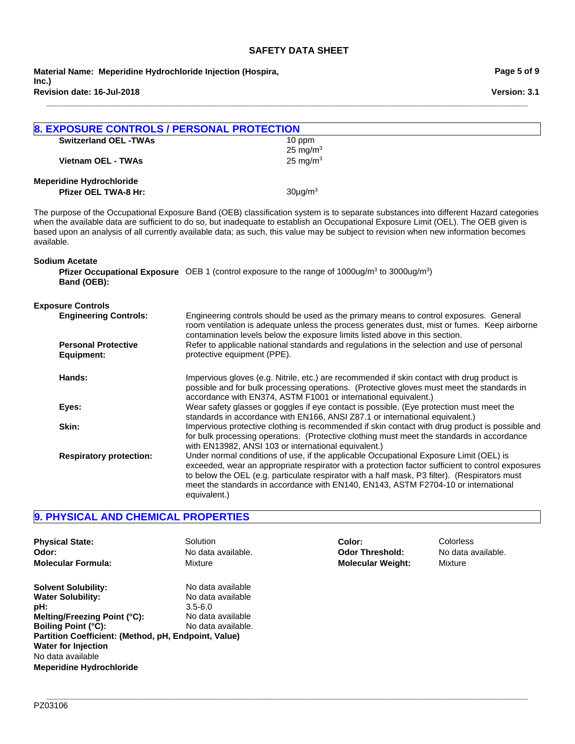**\_\_\_\_\_\_\_\_\_\_\_\_\_\_\_\_\_\_\_\_\_\_\_\_\_\_\_\_\_\_\_\_\_\_\_\_\_\_\_\_\_\_\_\_\_\_\_\_\_\_\_\_\_\_\_\_\_\_\_\_\_\_\_\_\_\_\_\_\_\_\_\_\_\_\_\_\_\_\_\_\_\_\_\_\_\_\_\_\_\_\_\_\_\_\_\_\_\_\_\_\_\_\_**

**Revision date: 16-Jul-2018 Material Name: Meperidine Hydrochloride Injection (Hospira, Inc.)**

| <b>8. EXPOSURE CONTROLS / PERSONAL PROTECTION</b> |                                                                                                                                                                                                                                                                                                                                                                                                                    |
|---------------------------------------------------|--------------------------------------------------------------------------------------------------------------------------------------------------------------------------------------------------------------------------------------------------------------------------------------------------------------------------------------------------------------------------------------------------------------------|
| <b>Switzerland OEL -TWAs</b>                      | 10 ppm                                                                                                                                                                                                                                                                                                                                                                                                             |
|                                                   | 25 mg/ $m3$                                                                                                                                                                                                                                                                                                                                                                                                        |
| <b>Vietnam OEL - TWAs</b>                         | 25 mg/m $3$                                                                                                                                                                                                                                                                                                                                                                                                        |
| <b>Meperidine Hydrochloride</b>                   |                                                                                                                                                                                                                                                                                                                                                                                                                    |
| Pfizer OEL TWA-8 Hr:                              | $30\mu g/m^3$                                                                                                                                                                                                                                                                                                                                                                                                      |
| available.                                        | The purpose of the Occupational Exposure Band (OEB) classification system is to separate substances into different Hazard categories<br>when the available data are sufficient to do so, but inadequate to establish an Occupational Exposure Limit (OEL). The OEB given is<br>based upon an analysis of all currently available data; as such, this value may be subject to revision when new information becomes |
| <b>Sodium Acetate</b><br>Band (OEB):              | <b>Pfizer Occupational Exposure</b> OEB 1 (control exposure to the range of 1000ug/m <sup>3</sup> to 3000ug/m <sup>3</sup> )                                                                                                                                                                                                                                                                                       |
| <b>Exposure Controls</b>                          |                                                                                                                                                                                                                                                                                                                                                                                                                    |
| <b>Engineering Controls:</b>                      | Engineering controls should be used as the primary means to control exposures. General<br>room ventilation is adequate unless the process generates dust, mist or fumes. Keep airborne<br>contamination levels below the exposure limits listed above in this section.                                                                                                                                             |
| <b>Personal Protective</b><br><b>Equipment:</b>   | Refer to applicable national standards and regulations in the selection and use of personal<br>protective equipment (PPE).                                                                                                                                                                                                                                                                                         |
| Hands:                                            | Impervious gloves (e.g. Nitrile, etc.) are recommended if skin contact with drug product is<br>possible and for bulk processing operations. (Protective gloves must meet the standards in<br>accordance with EN374, ASTM F1001 or international equivalent.)                                                                                                                                                       |
| Eyes:                                             | Wear safety glasses or goggles if eye contact is possible. (Eye protection must meet the<br>standards in accordance with EN166, ANSI Z87.1 or international equivalent.)                                                                                                                                                                                                                                           |
| Skin:                                             | Impervious protective clothing is recommended if skin contact with drug product is possible and<br>for bulk processing operations. (Protective clothing must meet the standards in accordance<br>with EN13982, ANSI 103 or international equivalent.)                                                                                                                                                              |
| <b>Respiratory protection:</b>                    | Under normal conditions of use, if the applicable Occupational Exposure Limit (OEL) is<br>exceeded, wear an appropriate respirator with a protection factor sufficient to control exposures<br>to below the OEL (e.g. particulate respirator with a half mask, P3 filter). (Respirators must<br>meet the standards in accordance with EN140, EN143, ASTM F2704-10 or international<br>equivalent.)                 |

# **9. PHYSICAL AND CHEMICAL PROPERTIES**

| <b>Physical State:</b>                                                                                                                                                                                                                                                    | Solution                                                                                         | Color:                   | Colorless          |
|---------------------------------------------------------------------------------------------------------------------------------------------------------------------------------------------------------------------------------------------------------------------------|--------------------------------------------------------------------------------------------------|--------------------------|--------------------|
| Odor:                                                                                                                                                                                                                                                                     | No data available.                                                                               | <b>Odor Threshold:</b>   | No data available. |
| <b>Molecular Formula:</b>                                                                                                                                                                                                                                                 | Mixture                                                                                          | <b>Molecular Weight:</b> | Mixture            |
| <b>Solvent Solubility:</b><br><b>Water Solubility:</b><br>pH:<br>Melting/Freezing Point (°C):<br><b>Boiling Point (°C):</b><br>Partition Coefficient: (Method, pH, Endpoint, Value)<br><b>Water for Injection</b><br>No data available<br><b>Meperidine Hydrochloride</b> | No data available<br>No data available<br>$3.5 - 6.0$<br>No data available<br>No data available. |                          |                    |

**\_\_\_\_\_\_\_\_\_\_\_\_\_\_\_\_\_\_\_\_\_\_\_\_\_\_\_\_\_\_\_\_\_\_\_\_\_\_\_\_\_\_\_\_\_\_\_\_\_\_\_\_\_\_\_\_\_\_\_\_\_\_\_\_\_\_\_\_\_\_\_\_\_\_\_\_\_\_\_\_\_\_\_\_\_\_\_\_\_\_\_\_\_\_\_\_\_\_\_\_\_\_\_**

**Version: 3.1**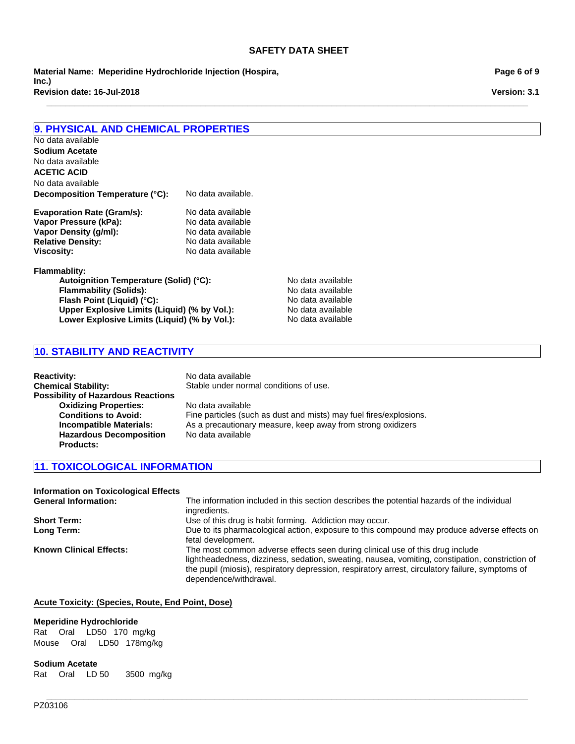**\_\_\_\_\_\_\_\_\_\_\_\_\_\_\_\_\_\_\_\_\_\_\_\_\_\_\_\_\_\_\_\_\_\_\_\_\_\_\_\_\_\_\_\_\_\_\_\_\_\_\_\_\_\_\_\_\_\_\_\_\_\_\_\_\_\_\_\_\_\_\_\_\_\_\_\_\_\_\_\_\_\_\_\_\_\_\_\_\_\_\_\_\_\_\_\_\_\_\_\_\_\_\_**

**Revision date: 16-Jul-2018 Material Name: Meperidine Hydrochloride Injection (Hospira, Inc.)**

**Page 6 of 9**

**Version: 3.1**

## **9. PHYSICAL AND CHEMICAL PROPERTIES**

| No data available               |                          |
|---------------------------------|--------------------------|
| <b>Sodium Acetate</b>           |                          |
| No data available               |                          |
| <b>ACETIC ACID</b>              |                          |
| No data available               |                          |
| Decomposition Temperature (°C): | No data available.       |
|                                 | Mila alata accediatata : |

| Evaporation Rate (Gram/S): | <u>ino data avaliable</u> |
|----------------------------|---------------------------|
| Vapor Pressure (kPa):      | No data available         |
| Vapor Density (q/ml):      | No data available         |
| <b>Relative Density:</b>   | No data available         |
| <b>Viscosity:</b>          | No data available         |
|                            |                           |

#### **Flammablity:**

Autoignition Temperature (Solid) (°C): No data available **Flammability (Solids):** No data available **Flash Point (Liquid) (°C):** No data available **Upper Explosive Limits (Liquid) (% by Vol.):** No data available<br>
Lower Explosive Limits (Liquid) (% by Vol.): No data available Lower Explosive Limits (Liquid) (% by Vol.):

## **10. STABILITY AND REACTIVITY**

| <b>Reactivity:</b>                        | No data available                                                  |
|-------------------------------------------|--------------------------------------------------------------------|
| <b>Chemical Stability:</b>                | Stable under normal conditions of use.                             |
| <b>Possibility of Hazardous Reactions</b> |                                                                    |
| <b>Oxidizing Properties:</b>              | No data available                                                  |
| <b>Conditions to Avoid:</b>               | Fine particles (such as dust and mists) may fuel fires/explosions. |
| <b>Incompatible Materials:</b>            | As a precautionary measure, keep away from strong oxidizers        |
| <b>Hazardous Decomposition</b>            | No data available                                                  |
| <b>Products:</b>                          |                                                                    |

# **11. TOXICOLOGICAL INFORMATION**

| <b>Information on Toxicological Effects</b> |                                                                                                  |
|---------------------------------------------|--------------------------------------------------------------------------------------------------|
| <b>General Information:</b>                 | The information included in this section describes the potential hazards of the individual       |
|                                             | ingredients.                                                                                     |
| <b>Short Term:</b>                          | Use of this drug is habit forming. Addiction may occur.                                          |
| Long Term:                                  | Due to its pharmacological action, exposure to this compound may produce adverse effects on      |
|                                             | fetal development.                                                                               |
| <b>Known Clinical Effects:</b>              | The most common adverse effects seen during clinical use of this drug include                    |
|                                             | lightheadedness, dizziness, sedation, sweating, nausea, vomiting, constipation, constriction of  |
|                                             | the pupil (miosis), respiratory depression, respiratory arrest, circulatory failure, symptoms of |
|                                             | dependence/withdrawal.                                                                           |

**\_\_\_\_\_\_\_\_\_\_\_\_\_\_\_\_\_\_\_\_\_\_\_\_\_\_\_\_\_\_\_\_\_\_\_\_\_\_\_\_\_\_\_\_\_\_\_\_\_\_\_\_\_\_\_\_\_\_\_\_\_\_\_\_\_\_\_\_\_\_\_\_\_\_\_\_\_\_\_\_\_\_\_\_\_\_\_\_\_\_\_\_\_\_\_\_\_\_\_\_\_\_\_**

#### **Acute Toxicity: (Species, Route, End Point, Dose)**

#### **Meperidine Hydrochloride**

RatOralLD50 170mg/kg MouseOralLD50 178mg/kg

#### **Sodium Acetate**

RatOralLD 503500mg/kg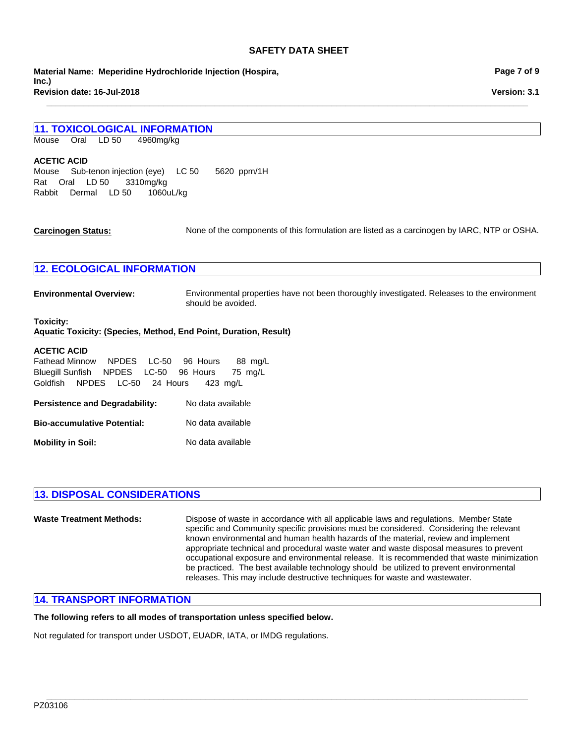**\_\_\_\_\_\_\_\_\_\_\_\_\_\_\_\_\_\_\_\_\_\_\_\_\_\_\_\_\_\_\_\_\_\_\_\_\_\_\_\_\_\_\_\_\_\_\_\_\_\_\_\_\_\_\_\_\_\_\_\_\_\_\_\_\_\_\_\_\_\_\_\_\_\_\_\_\_\_\_\_\_\_\_\_\_\_\_\_\_\_\_\_\_\_\_\_\_\_\_\_\_\_\_**

**Revision date: 16-Jul-2018 Material Name: Meperidine Hydrochloride Injection (Hospira, Inc.)**

## **11. TOXICOLOGICAL INFORMATION**

MouseOralLD 504960mg/kg

#### **ACETIC ACID**

RabbitDermalLD 501060uL/kg MouseSub-tenon injection (eye)LC 505620ppm/1H RatOralLD 503310mg/kg

**Carcinogen Status:** None of the components of this formulation are listed as a carcinogen by IARC, NTP or OSHA.

## **12. ECOLOGICAL INFORMATION**

**Environmental Overview:** Environmental properties have not been thoroughly investigated. Releases to the environment should be avoided.

#### **Toxicity: Aquatic Toxicity: (Species, Method, End Point, Duration, Result)**

#### **ACETIC ACID**

Fathead MinnowNPDESLC-5096Hours88mg/L Bluegill SunfishNPDESLC-5096Hours75mg/L GoldfishNPDESLC-5024Hours423mg/L

| <b>Persistence and Degradability:</b> | No data available |
|---------------------------------------|-------------------|
| <b>Bio-accumulative Potential:</b>    | No data available |
| <b>Mobility in Soil:</b>              | No data available |

## **13. DISPOSAL CONSIDERATIONS**

| <b>Waste Treatment Methods:</b> | Dispose of waste in accordance with all applicable laws and regulations. Member State<br>specific and Community specific provisions must be considered. Considering the relevant<br>known environmental and human health hazards of the material, review and implement<br>appropriate technical and procedural waste water and waste disposal measures to prevent<br>occupational exposure and environmental release. It is recommended that waste minimization<br>be practiced. The best available technology should be utilized to prevent environmental<br>releases. This may include destructive techniques for waste and wastewater. |
|---------------------------------|-------------------------------------------------------------------------------------------------------------------------------------------------------------------------------------------------------------------------------------------------------------------------------------------------------------------------------------------------------------------------------------------------------------------------------------------------------------------------------------------------------------------------------------------------------------------------------------------------------------------------------------------|
|---------------------------------|-------------------------------------------------------------------------------------------------------------------------------------------------------------------------------------------------------------------------------------------------------------------------------------------------------------------------------------------------------------------------------------------------------------------------------------------------------------------------------------------------------------------------------------------------------------------------------------------------------------------------------------------|

**\_\_\_\_\_\_\_\_\_\_\_\_\_\_\_\_\_\_\_\_\_\_\_\_\_\_\_\_\_\_\_\_\_\_\_\_\_\_\_\_\_\_\_\_\_\_\_\_\_\_\_\_\_\_\_\_\_\_\_\_\_\_\_\_\_\_\_\_\_\_\_\_\_\_\_\_\_\_\_\_\_\_\_\_\_\_\_\_\_\_\_\_\_\_\_\_\_\_\_\_\_\_\_**

## **14. TRANSPORT INFORMATION**

## **The following refers to all modes of transportation unless specified below.**

Not regulated for transport under USDOT, EUADR, IATA, or IMDG regulations.

**Page 7 of 9**

**Version: 3.1**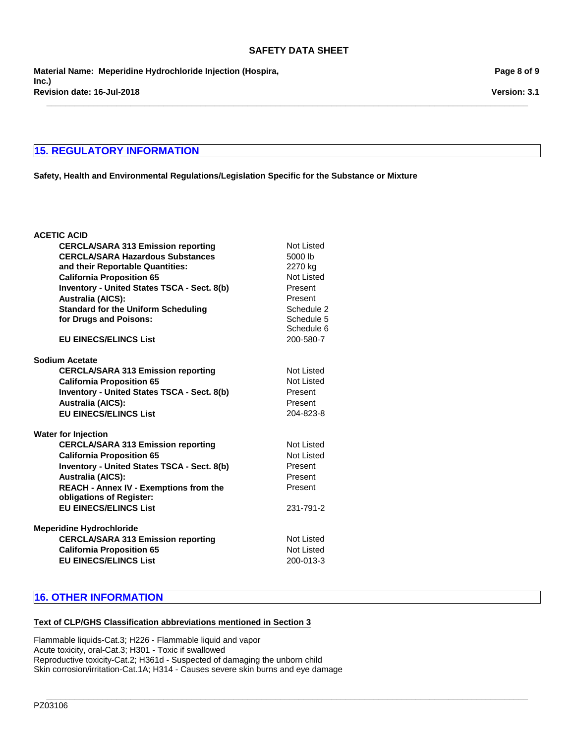**\_\_\_\_\_\_\_\_\_\_\_\_\_\_\_\_\_\_\_\_\_\_\_\_\_\_\_\_\_\_\_\_\_\_\_\_\_\_\_\_\_\_\_\_\_\_\_\_\_\_\_\_\_\_\_\_\_\_\_\_\_\_\_\_\_\_\_\_\_\_\_\_\_\_\_\_\_\_\_\_\_\_\_\_\_\_\_\_\_\_\_\_\_\_\_\_\_\_\_\_\_\_\_**

**Revision date: 16-Jul-2018 Material Name: Meperidine Hydrochloride Injection (Hospira, Inc.)**

## **15. REGULATORY INFORMATION**

**Safety, Health and Environmental Regulations/Legislation Specific for the Substance or Mixture**

| <b>ACETIC ACID</b>                                 |                   |
|----------------------------------------------------|-------------------|
| <b>CERCLA/SARA 313 Emission reporting</b>          | Not Listed        |
| <b>CERCLA/SARA Hazardous Substances</b>            | 5000 lb           |
| and their Reportable Quantities:                   | 2270 kg           |
| <b>California Proposition 65</b>                   | Not Listed        |
| Inventory - United States TSCA - Sect. 8(b)        | Present           |
| <b>Australia (AICS):</b>                           | Present           |
| <b>Standard for the Uniform Scheduling</b>         | Schedule 2        |
| for Drugs and Poisons:                             | Schedule 5        |
|                                                    | Schedule 6        |
| <b>EU EINECS/ELINCS List</b>                       | 200-580-7         |
|                                                    |                   |
| <b>Sodium Acetate</b>                              |                   |
| <b>CERCLA/SARA 313 Emission reporting</b>          | Not Listed        |
| <b>California Proposition 65</b>                   | <b>Not Listed</b> |
| <b>Inventory - United States TSCA - Sect. 8(b)</b> | Present           |
| <b>Australia (AICS):</b>                           | Present           |
| <b>EU EINECS/ELINCS List</b>                       | 204-823-8         |
| Water for Injection                                |                   |
| <b>CERCLA/SARA 313 Emission reporting</b>          | Not Listed        |
| <b>California Proposition 65</b>                   | <b>Not Listed</b> |
| Inventory - United States TSCA - Sect. 8(b)        | Present           |
| <b>Australia (AICS):</b>                           | Present           |
| <b>REACH - Annex IV - Exemptions from the</b>      | Present           |
| obligations of Register:                           |                   |
| <b>EU EINECS/ELINCS List</b>                       | 231-791-2         |
| <b>Meperidine Hydrochloride</b>                    |                   |
| <b>CERCLA/SARA 313 Emission reporting</b>          | Not Listed        |
| <b>California Proposition 65</b>                   | <b>Not Listed</b> |
| <b>EU EINECS/ELINCS List</b>                       | 200-013-3         |
|                                                    |                   |

# **16. OTHER INFORMATION**

#### **Text of CLP/GHS Classification abbreviations mentioned in Section 3**

Flammable liquids-Cat.3; H226 - Flammable liquid and vapor Acute toxicity, oral-Cat.3; H301 - Toxic if swallowed Reproductive toxicity-Cat.2; H361d - Suspected of damaging the unborn child Skin corrosion/irritation-Cat.1A; H314 - Causes severe skin burns and eye damage